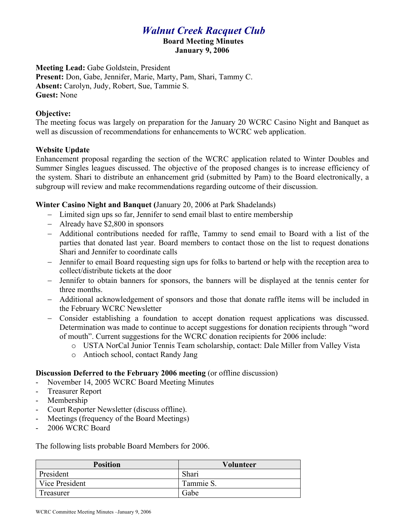## *Walnut Creek Racquet Club*

# **Board Meeting Minutes**

**January 9, 2006**

**Meeting Lead:** Gabe Goldstein, President **Present:** Don, Gabe, Jennifer, Marie, Marty, Pam, Shari, Tammy C. **Absent:** Carolyn, Judy, Robert, Sue, Tammie S. **Guest:** None

### **Objective:**

The meeting focus was largely on preparation for the January 20 WCRC Casino Night and Banquet as well as discussion of recommendations for enhancements to WCRC web application.

#### **Website Update**

Enhancement proposal regarding the section of the WCRC application related to Winter Doubles and Summer Singles leagues discussed. The objective of the proposed changes is to increase efficiency of the system. Shari to distribute an enhancement grid (submitted by Pam) to the Board electronically, a subgroup will review and make recommendations regarding outcome of their discussion.

#### **Winter Casino Night and Banquet (**January 20, 2006 at Park Shadelands)

- Limited sign ups so far, Jennifer to send email blast to entire membership
- Already have \$2,800 in sponsors
- Additional contributions needed for raffle, Tammy to send email to Board with a list of the parties that donated last year. Board members to contact those on the list to request donations Shari and Jennifer to coordinate calls
- Jennifer to email Board requesting sign ups for folks to bartend or help with the reception area to collect/distribute tickets at the door
- Jennifer to obtain banners for sponsors, the banners will be displayed at the tennis center for three months.
- Additional acknowledgement of sponsors and those that donate raffle items will be included in the February WCRC Newsletter
- Consider establishing a foundation to accept donation request applications was discussed. Determination was made to continue to accept suggestions for donation recipients through "word of mouth". Current suggestions for the WCRC donation recipients for 2006 include:
	- o USTA NorCal Junior Tennis Team scholarship, contact: Dale Miller from Valley Vista
	- o Antioch school, contact Randy Jang

#### **Discussion Deferred to the February 2006 meeting (or offline discussion)**

- November 14, 2005 WCRC Board Meeting Minutes
- Treasurer Report
- Membership
- Court Reporter Newsletter (discuss offline).
- Meetings (frequency of the Board Meetings)
- 2006 WCRC Board

The following lists probable Board Members for 2006.

| <b>Position</b> | <b>Volunteer</b> |
|-----------------|------------------|
| President       | Shari            |
| Vice President  | Tammie S.        |
| Treasurer       | Gabe             |